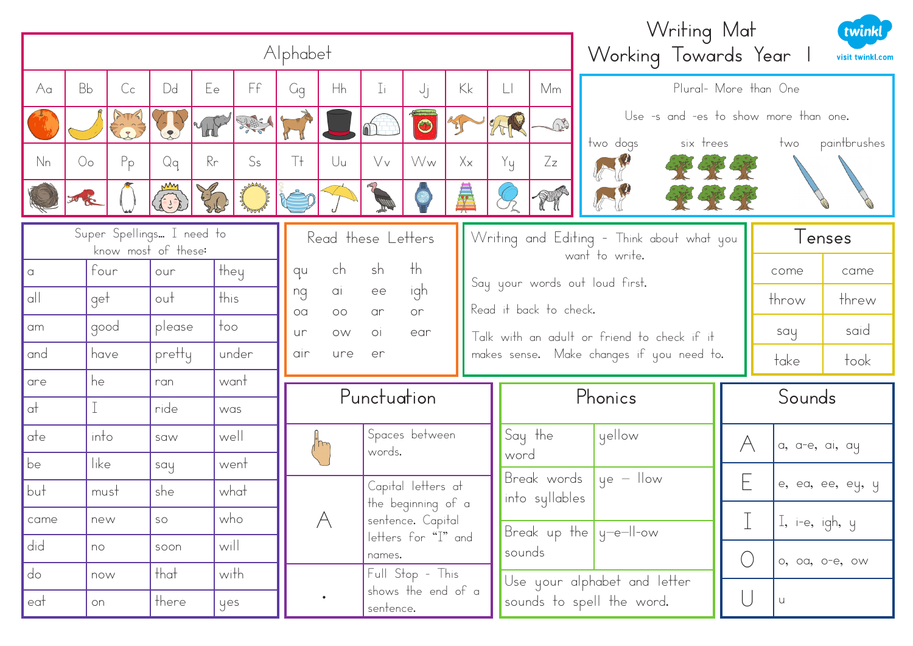|                                                                        | Alphabet               |         |                                                                                                                                                                                                                                                                                                                                                                             |          |                |                                                                     |                                                    |                                                                          |                    |            |                                           |                           |                                             | Writing Mat                  | Working Towards Year                  | twinkl<br>visit twinkl.com |  |
|------------------------------------------------------------------------|------------------------|---------|-----------------------------------------------------------------------------------------------------------------------------------------------------------------------------------------------------------------------------------------------------------------------------------------------------------------------------------------------------------------------------|----------|----------------|---------------------------------------------------------------------|----------------------------------------------------|--------------------------------------------------------------------------|--------------------|------------|-------------------------------------------|---------------------------|---------------------------------------------|------------------------------|---------------------------------------|----------------------------|--|
| Aa                                                                     | <b>Bb</b>              | $C_{C}$ | Dd                                                                                                                                                                                                                                                                                                                                                                          | Ee       | Ff             | Kk<br>Plural- More than One<br>Hh<br>Mm<br>$\Box$<br>Ιi<br>ήj<br>Gg |                                                    |                                                                          |                    |            |                                           |                           |                                             |                              |                                       |                            |  |
|                                                                        |                        | A MA    |                                                                                                                                                                                                                                                                                                                                                                             | VHF      | 원화의            |                                                                     |                                                    |                                                                          | $\bigodot$         |            |                                           | THE                       |                                             |                              | Use -s and -es to show more than one. |                            |  |
| N <sub>n</sub>                                                         | $\mathcal{O}_{\Omega}$ | $P_{p}$ | Qq                                                                                                                                                                                                                                                                                                                                                                          | Rr       | S <sub>s</sub> | Τł                                                                  | U <sub>u</sub>                                     | Vv                                                                       | Ww                 | $X \times$ |                                           | Zz                        | six trees                                   | paintbrushes<br>two          |                                       |                            |  |
|                                                                        | 西屋                     |         | $\begin{picture}(20,20) \put(0,0){\vector(1,0){10}} \put(15,0){\vector(1,0){10}} \put(15,0){\vector(1,0){10}} \put(15,0){\vector(1,0){10}} \put(15,0){\vector(1,0){10}} \put(15,0){\vector(1,0){10}} \put(15,0){\vector(1,0){10}} \put(15,0){\vector(1,0){10}} \put(15,0){\vector(1,0){10}} \put(15,0){\vector(1,0){10}} \put(15,0){\vector(1,0){10}} \put(15,0){\vector(1$ | Children |                |                                                                     |                                                    |                                                                          |                    | 彙          | Yy                                        | Y                         |                                             |                              |                                       |                            |  |
| Super Spellings I need to<br>Read these Letters<br>know most of these: |                        |         |                                                                                                                                                                                                                                                                                                                                                                             |          |                |                                                                     |                                                    | Writing and Editing - Think about what you<br>want to write.             |                    | lenses     |                                           |                           |                                             |                              |                                       |                            |  |
| $\alpha$                                                               | four                   |         | our                                                                                                                                                                                                                                                                                                                                                                         | , they   |                | qu                                                                  | ch                                                 | sh                                                                       | $\n  th\n$         |            |                                           |                           | Say your words out loud first.              |                              | come                                  | came                       |  |
| q                                                                      | get                    |         | out                                                                                                                                                                                                                                                                                                                                                                         | this     |                | ng<br>oa                                                            | igh<br>ai<br>ee<br>or<br>$\circlearrowright$<br>ar |                                                                          |                    |            |                                           | Read it back to check.    |                                             |                              | throw                                 | threw                      |  |
| am                                                                     | ' good                 |         | please                                                                                                                                                                                                                                                                                                                                                                      | too      |                | ur                                                                  | OW                                                 | O <sub>1</sub><br>ear                                                    |                    |            |                                           |                           | Talk with an adult or friend to check if it |                              | say                                   | said                       |  |
| and                                                                    | have                   |         | pretty                                                                                                                                                                                                                                                                                                                                                                      |          | under          | air                                                                 | ure<br>er                                          |                                                                          |                    |            | makes sense. Make changes if you need to. |                           |                                             | take                         | took                                  |                            |  |
| are                                                                    | he                     |         | ran                                                                                                                                                                                                                                                                                                                                                                         |          | want           |                                                                     |                                                    | Punctuation                                                              |                    |            |                                           | Phonics                   |                                             |                              | Sounds                                |                            |  |
| $\alpha\uparrow$                                                       |                        |         | ride                                                                                                                                                                                                                                                                                                                                                                        | was      |                |                                                                     |                                                    |                                                                          |                    |            |                                           |                           |                                             |                              |                                       |                            |  |
| ate                                                                    | into                   |         | saw                                                                                                                                                                                                                                                                                                                                                                         | well     |                |                                                                     |                                                    | words.                                                                   | Spaces between     |            | word                                      | Say the                   | yellow                                      | A                            | a, a-e, ai, ay                        |                            |  |
| be                                                                     | like                   |         | say                                                                                                                                                                                                                                                                                                                                                                         |          | went           |                                                                     |                                                    |                                                                          |                    |            |                                           | Break words               | $ye - llow$                                 |                              |                                       |                            |  |
| $ $ but                                                                | must                   |         | she                                                                                                                                                                                                                                                                                                                                                                         |          | what           |                                                                     |                                                    |                                                                          | Capital letters at |            |                                           | into syllables            |                                             | E                            |                                       | e, ea, ee, ey, y           |  |
| came                                                                   | new                    |         | SO                                                                                                                                                                                                                                                                                                                                                                          | who      |                |                                                                     | A                                                  | the beginning of a<br>sentence. Capital<br>letters for "I" and<br>names. |                    |            |                                           | Break up the $y$ -e-II-ow |                                             | I, i-e, igh, $y$             |                                       |                            |  |
| did                                                                    | n <sub>O</sub>         |         | soon                                                                                                                                                                                                                                                                                                                                                                        | will     |                |                                                                     |                                                    |                                                                          |                    | sounds     |                                           |                           |                                             | $\bigcirc$<br>o, oa, o-e, ow |                                       |                            |  |
| do                                                                     | now                    |         | that                                                                                                                                                                                                                                                                                                                                                                        | with     |                |                                                                     |                                                    |                                                                          | Full Stop - This   |            |                                           |                           | Use your alphabet and letter                |                              |                                       |                            |  |
| eat                                                                    | on                     |         | , there                                                                                                                                                                                                                                                                                                                                                                     | yes      |                |                                                                     |                                                    | sentence.                                                                | shows the end of a |            |                                           |                           | sounds to spell the word.                   | $\bigcup$                    | U                                     |                            |  |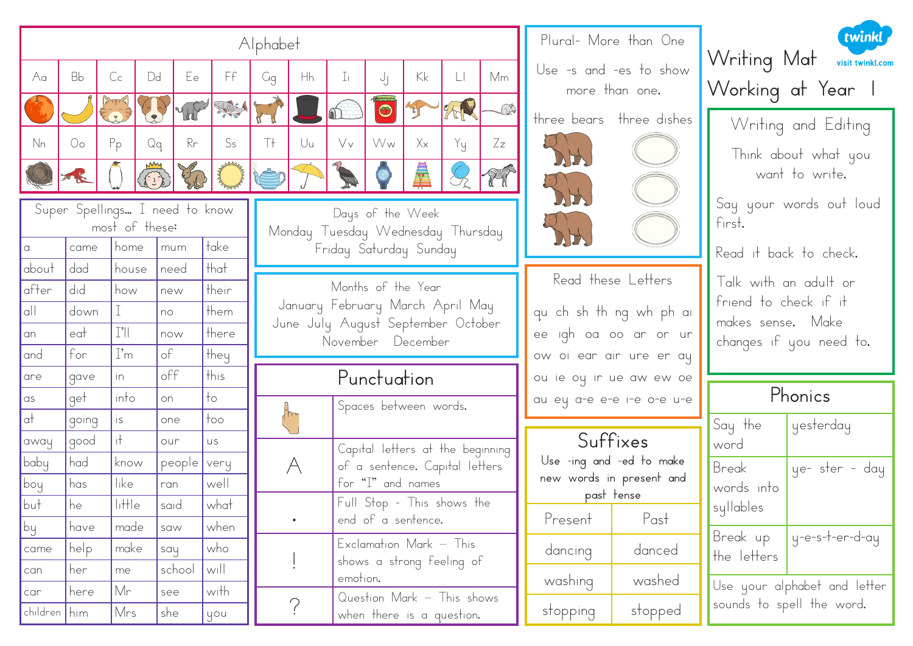|                |                                                  |                     |                                   |                 | Alphabet               |                                                                                  |                                                   |                                                            |                         |                                                         |                                        |            | Plural- More than One                                |                                            | twinkl                                          |  |
|----------------|--------------------------------------------------|---------------------|-----------------------------------|-----------------|------------------------|----------------------------------------------------------------------------------|---------------------------------------------------|------------------------------------------------------------|-------------------------|---------------------------------------------------------|----------------------------------------|------------|------------------------------------------------------|--------------------------------------------|-------------------------------------------------|--|
| Aa             | <b>Bb</b>                                        | C <sub>c</sub>      | Dd<br>Ee                          | Ff              | Gg                     | Hh                                                                               | Ιi                                                | υj                                                         | Kk                      | $\Box$                                                  | Mm                                     |            | Use -s and -es to show<br>more than one.             |                                            | Writing Mat visit twinkl.com<br>Working at Year |  |
|                |                                                  |                     | 465                               | News            |                        |                                                                                  | 40<br>$\bigodot$<br>划<br>three bears three dishes |                                                            |                         | Writing and Editing                                     |                                        |            |                                                      |                                            |                                                 |  |
| N <sub>n</sub> | 0o                                               | $P_{p}$             | $R_{r}$<br>Qq<br><b>CONTROLLS</b> | S <sub>s</sub>  | Τł<br>rê d             | Uu                                                                               |                                                   | $X_{x}$<br>Vv<br>Yy<br>$Z_{Z}$<br>Ww<br>DH<br>鼻<br>T<br>DH |                         |                                                         | Think about what you<br>want to write. |            |                                                      |                                            |                                                 |  |
|                | Super Spellings I need to know<br>most of these: |                     |                                   |                 |                        | Days of the Week<br>Monday Tuesday Wednesday Thursday                            |                                                   |                                                            |                         |                                                         |                                        | DH         |                                                      | Say your words out loud<br>first.          |                                                 |  |
| about          | came<br>dad                                      | home<br>house       | mum<br>need                       | take<br>that    | Friday Saturday Sunday |                                                                                  |                                                   |                                                            |                         |                                                         |                                        |            |                                                      | Read it back to check.                     |                                                 |  |
| after          | did                                              | how                 | new                               | their           | Months of the Year     |                                                                                  |                                                   |                                                            |                         |                                                         |                                        |            | Read these Letters                                   | Talk with an adult or                      |                                                 |  |
| q              | down                                             |                     | no                                | them            |                        | January February March April May                                                 |                                                   |                                                            |                         | qu ch sh th ng wh ph ai                                 |                                        |            |                                                      | friend to check if it<br>makes sense. Make |                                                 |  |
| an             | eat                                              | $\lceil$ ' $\rceil$ | now                               | there           |                        | June July August September October<br>ee igh oa oo ar or ur<br>November December |                                                   |                                                            |                         |                                                         | changes if you need to.                |            |                                                      |                                            |                                                 |  |
| and            | for                                              | $\Gamma$ m          | $\circ f$                         | they            |                        |                                                                                  |                                                   |                                                            |                         |                                                         | ow oi ear air ure er ay                |            |                                                      |                                            |                                                 |  |
| are            | gave                                             | In                  | off                               | this            | Punctuation            |                                                                                  |                                                   |                                                            | ou ie ou ir ue aw ew oe |                                                         |                                        |            |                                                      |                                            |                                                 |  |
| as             | get                                              | into                | on                                | $+o$            | Spaces between words.  |                                                                                  | au ey a-e e-e i-e o-e u-e                         |                                                            | Phonics                 |                                                         |                                        |            |                                                      |                                            |                                                 |  |
| $ $ at         | going                                            | is.                 | one                               | $\frac{1}{100}$ |                        |                                                                                  |                                                   |                                                            |                         |                                                         |                                        |            |                                                      | Say the                                    | yesterday                                       |  |
| away           | good                                             | iŦ.                 | our                               | <b>US</b>       |                        |                                                                                  |                                                   |                                                            |                         | Capital letters at the beginning                        |                                        |            | Suffixes                                             | word                                       |                                                 |  |
| baby           | had                                              | know                | people   very                     |                 |                        | A                                                                                |                                                   |                                                            |                         | of a sentence. Capital letters                          |                                        |            | Use -ing and -ed to make<br>new words in present and | Break                                      | ye- ster - day                                  |  |
| <b>I</b> boy   | has                                              | like                | ran                               | well            |                        | for "I" and names                                                                |                                                   |                                                            |                         |                                                         |                                        | past tense | words into                                           |                                            |                                                 |  |
| $ $ but        | he                                               | little<br>made      | said                              | what<br>when    |                        | $\bullet$                                                                        | Full Stop - This shows the<br>end of a sentence.  |                                                            | Present                 | Past                                                    | syllables                              |            |                                                      |                                            |                                                 |  |
| by<br>came     | have<br>help                                     | make                | saw                               | who             |                        |                                                                                  |                                                   |                                                            |                         | Exclamation Mark - This                                 |                                        |            |                                                      | Break up                                   | ly-e-s-t-er-d-ay                                |  |
| can            | her                                              | me                  | say<br>school                     | will            |                        |                                                                                  |                                                   |                                                            |                         | shows a strong feeling of                               |                                        | dancing    | danced                                               | the letters                                |                                                 |  |
| car            | here                                             | Mr                  | see                               | with            |                        |                                                                                  | emotion.                                          |                                                            |                         |                                                         |                                        | washing    | washed                                               |                                            | Use your alphabet and letter                    |  |
| children   him |                                                  | Mrs                 | she                               | you             |                        | $\sum_{i=1}^{n}$                                                                 |                                                   |                                                            |                         | Question Mark - This shows<br>when there is a question. |                                        | stopping   | stopped                                              |                                            | sounds to spell the word.                       |  |